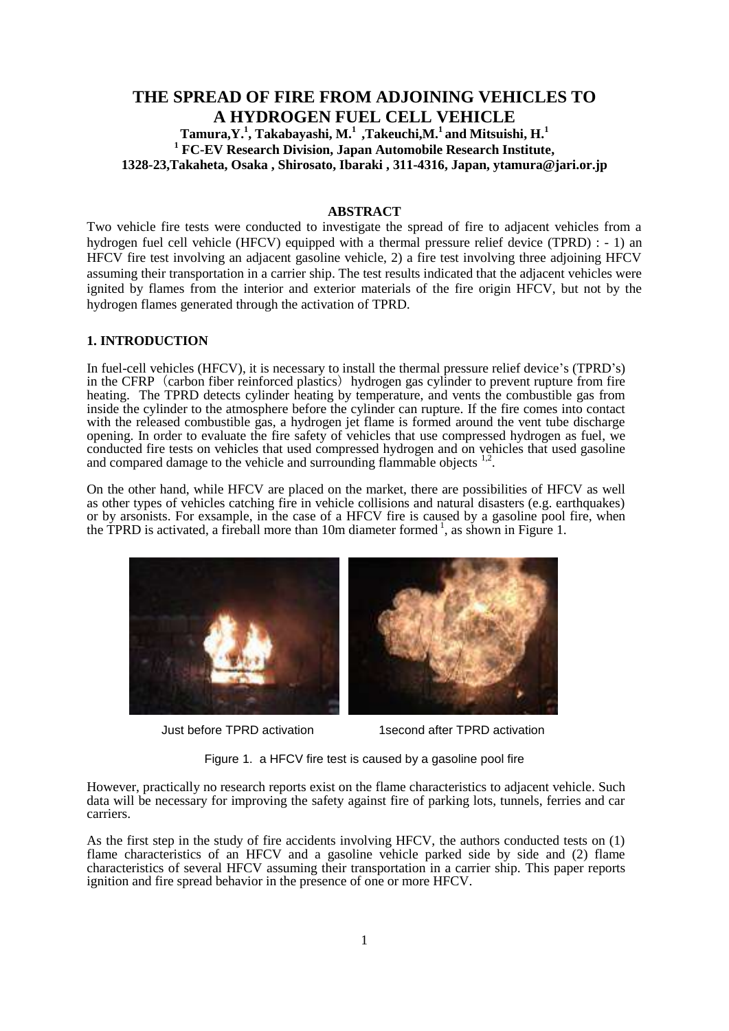## **THE SPREAD OF FIRE FROM ADJOINING VEHICLES TO A HYDROGEN FUEL CELL VEHICLE Tamura,Y. 1 , Takabayashi, M. 1 ,Takeuchi,M.<sup>1</sup> and Mitsuishi, H. 1 <sup>1</sup> FC-EV Research Division, Japan Automobile Research Institute,**

**1328-23,Takaheta, Osaka , Shirosato, Ibaraki , 311-4316, Japan, ytamura@jari.or.jp**

### **ABSTRACT**

Two vehicle fire tests were conducted to investigate the spread of fire to adjacent vehicles from a hydrogen fuel cell vehicle (HFCV) equipped with a thermal pressure relief device (TPRD) : - 1) an HFCV fire test involving an adjacent gasoline vehicle, 2) a fire test involving three adjoining HFCV assuming their transportation in a carrier ship. The test results indicated that the adjacent vehicles were ignited by flames from the interior and exterior materials of the fire origin HFCV, but not by the hydrogen flames generated through the activation of TPRD.

### **1. INTRODUCTION**

In fuel-cell vehicles (HFCV), it is necessary to install the thermal pressure relief device's (TPRD's) in the CFRP (carbon fiber reinforced plastics) hydrogen gas cylinder to prevent rupture from fire heating. The TPRD detects cylinder heating by temperature, and vents the combustible gas from inside the cylinder to the atmosphere before the cylinder can rupture. If the fire comes into contact with the released combustible gas, a hydrogen jet flame is formed around the vent tube discharge opening. In order to evaluate the fire safety of vehicles that use compressed hydrogen as fuel, we conducted fire tests on vehicles that used compressed hydrogen and on vehicles that used gasoline and compared damage to the vehicle and surrounding flammable objects  $1.2$ .

On the other hand, while HFCV are placed on the market, there are possibilities of HFCV as well as other types of vehicles catching fire in vehicle collisions and natural disasters (e.g. earthquakes) or by arsonists. For exsample, in the case of a HFCV fire is caused by a gasoline pool fire, when the TPRD is activated, a fireball more than 10m diameter formed<sup>1</sup>, as shown in Figure 1.



Just before TPRD activation 1second after TPRD activation

Figure 1. a HFCV fire test is caused by a gasoline pool fire

However, practically no research reports exist on the flame characteristics to adjacent vehicle. Such data will be necessary for improving the safety against fire of parking lots, tunnels, ferries and car carriers.

As the first step in the study of fire accidents involving HFCV, the authors conducted tests on (1) flame characteristics of an HFCV and a gasoline vehicle parked side by side and (2) flame characteristics of several HFCV assuming their transportation in a carrier ship. This paper reports ignition and fire spread behavior in the presence of one or more HFCV.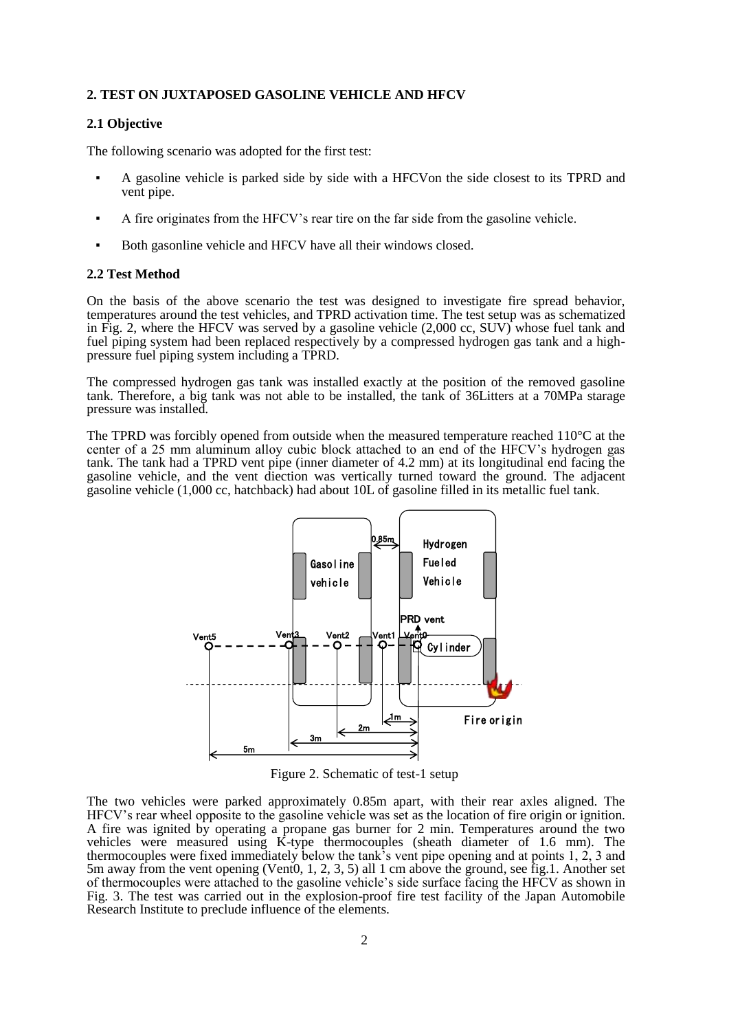#### **2. TEST ON JUXTAPOSED GASOLINE VEHICLE AND HFCV**

### **2.1 Objective**

The following scenario was adopted for the first test:

- A gasoline vehicle is parked side by side with a HFCV on the side closest to its TPRD and vent pipe.
- A fire originates from the HFCV's rear tire on the far side from the gasoline vehicle.
- Both gasonline vehicle and HFCV have all their windows closed.

#### **2.2 Test Method**

On the basis of the above scenario the test was designed to investigate fire spread behavior, temperatures around the test vehicles, and TPRD activation time. The test setup was as schematized in Fig. 2, where the HFCV was served by a gasoline vehicle (2,000 cc, SUV) whose fuel tank and fuel piping system had been replaced respectively by a compressed hydrogen gas tank and a highpressure fuel piping system including a TPRD.

The compressed hydrogen gas tank was installed exactly at the position of the removed gasoline tank. Therefore, a big tank was not able to be installed, the tank of 36Litters at a 70MPa starage pressure was installed.

The TPRD was forcibly opened from outside when the measured temperature reached 110°C at the center of a 25 mm aluminum alloy cubic block attached to an end of the HFCV's hydrogen gas tank. The tank had a TPRD vent pipe (inner diameter of 4.2 mm) at its longitudinal end facing the gasoline vehicle, and the vent diection was vertically turned toward the ground. The adjacent gasoline vehicle (1,000 cc, hatchback) had about 10L of gasoline filled in its metallic fuel tank.



Figure 2. Schematic of test-1 setup

The two vehicles were parked approximately 0.85m apart, with their rear axles aligned. The HFCV's rear wheel opposite to the gasoline vehicle was set as the location of fire origin or ignition. A fire was ignited by operating a propane gas burner for 2 min. Temperatures around the two vehicles were measured using K-type thermocouples (sheath diameter of 1.6 mm). The thermocouples were fixed immediately below the tank's vent pipe opening and at points 1, 2, 3 and 5m away from the vent opening (Vent0, 1, 2, 3, 5) all 1 cm above the ground, see fig.1. Another set of thermocouples were attached to the gasoline vehicle's side surface facing the HFCV as shown in Fig. 3. The test was carried out in the explosion-proof fire test facility of the Japan Automobile Research Institute to preclude influence of the elements.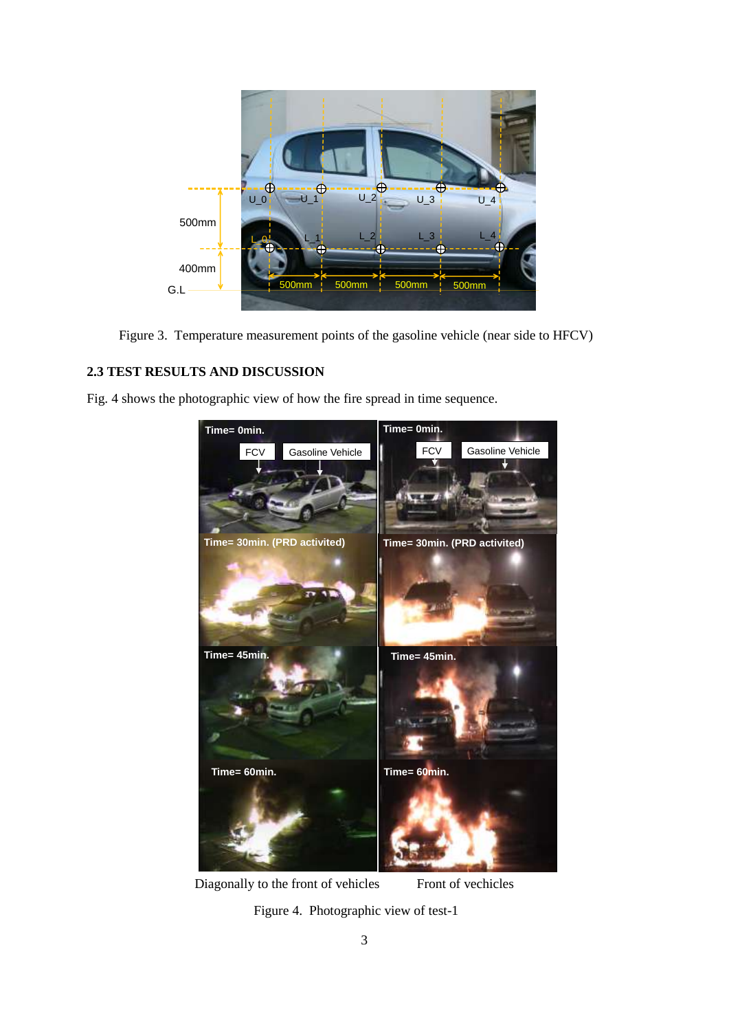

Figure 3. Temperature measurement points of the gasoline vehicle (near side to HFCV)

### **2.3 TEST RESULTS AND DISCUSSION**

Fig. 4 shows the photographic view of how the fire spread in time sequence.



Diagonally to the front of vehicles Front of vechicles

Figure 4. Photographic view of test-1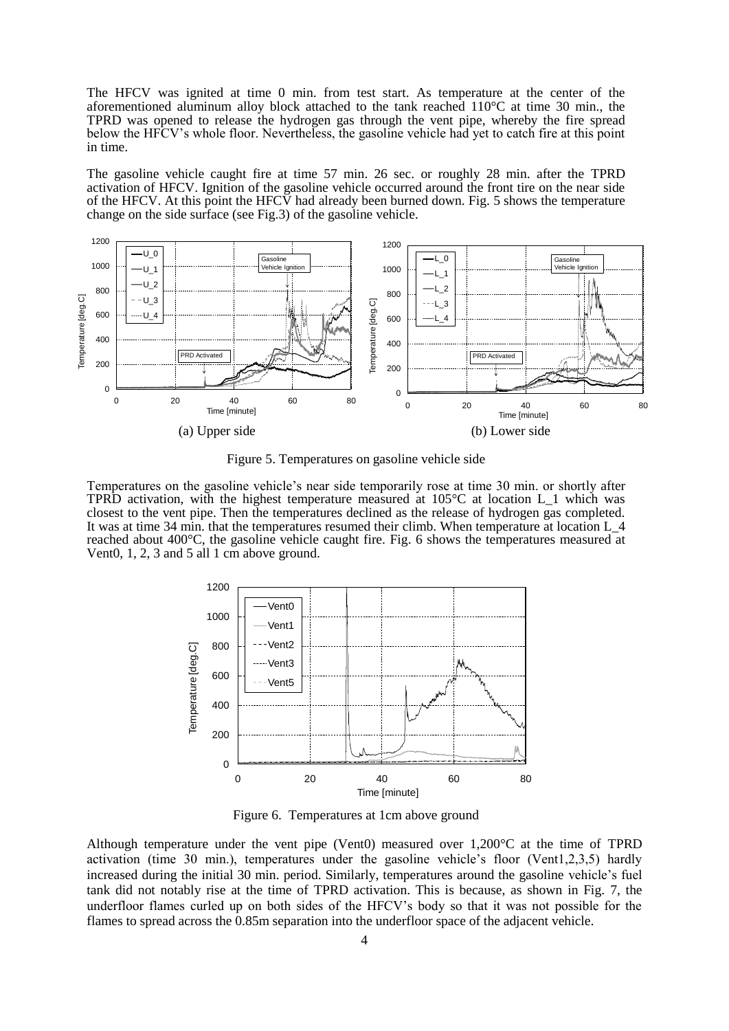The HFCV was ignited at time 0 min. from test start. As temperature at the center of the aforementioned aluminum alloy block attached to the tank reached  $110^{\circ}$ C at time 30 min., the TPRD was opened to release the hydrogen gas through the vent pipe, whereby the fire spread below the HFCV's whole floor. Nevertheless, the gasoline vehicle had yet to catch fire at this point in time.

The gasoline vehicle caught fire at time 57 min. 26 sec. or roughly 28 min. after the TPRD activation of HFCV. Ignition of the gasoline vehicle occurred around the front tire on the near side of the HFCV. At this point the HFCV had already been burned down. Fig. 5 shows the temperature change on the side surface (see Fig.3) of the gasoline vehicle.



Figure 5. Temperatures on gasoline vehicle side

Temperatures on the gasoline vehicle's near side temporarily rose at time 30 min. or shortly after TPRD activation, with the highest temperature measured at 105°C at location L\_1 which was closest to the vent pipe. Then the temperatures declined as the release of hydrogen gas completed. It was at time 34 min. that the temperatures resumed their climb. When temperature at location L\_4 reached about 400°C, the gasoline vehicle caught fire. Fig. 6 shows the temperatures measured at Vent0, 1, 2, 3 and 5 all 1 cm above ground.



Figure 6. Temperatures at 1cm above ground

Although temperature under the vent pipe (Vent0) measured over 1,200°C at the time of TPRD activation (time 30 min.), temperatures under the gasoline vehicle's floor (Vent1,2,3,5) hardly increased during the initial 30 min. period. Similarly, temperatures around the gasoline vehicle's fuel tank did not notably rise at the time of TPRD activation. This is because, as shown in Fig. 7, the underfloor flames curled up on both sides of the HFCV's body so that it was not possible for the flames to spread across the 0.85m separation into the underfloor space of the adjacent vehicle.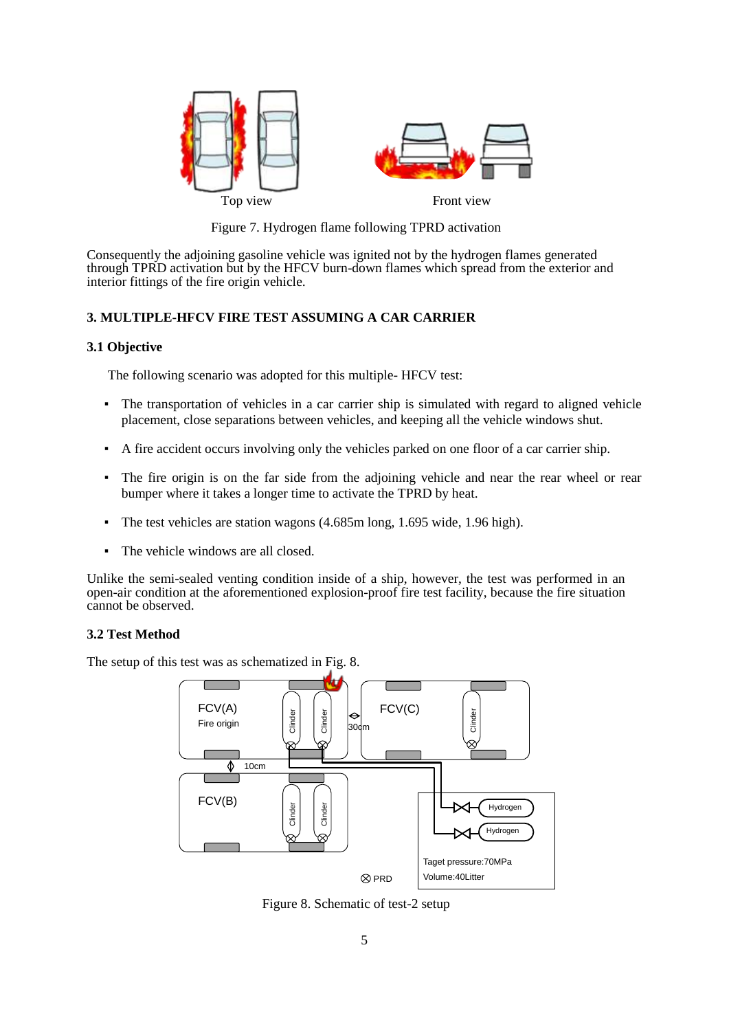

Figure 7. Hydrogen flame following TPRD activation

Consequently the adjoining gasoline vehicle was ignited not by the hydrogen flames generated through TPRD activation but by the HFCV burn-down flames which spread from the exterior and interior fittings of the fire origin vehicle.

### **3. MULTIPLE-HFCV FIRE TEST ASSUMING A CAR CARRIER**

### **3.1 Objective**

The following scenario was adopted for this multiple- HFCV test:

- The transportation of vehicles in a car carrier ship is simulated with regard to aligned vehicle placement, close separations between vehicles, and keeping all the vehicle windows shut.
- A fire accident occurs involving only the vehicles parked on one floor of a car carrier ship.
- The fire origin is on the far side from the adjoining vehicle and near the rear wheel or rear bumper where it takes a longer time to activate the TPRD by heat.
- The test vehicles are station wagons (4.685m long, 1.695 wide, 1.96 high).
- The vehicle windows are all closed.

Unlike the semi-sealed venting condition inside of a ship, however, the test was performed in an open-air condition at the aforementioned explosion-proof fire test facility, because the fire situation cannot be observed.

### **3.2 Test Method**

The setup of this test was as schematized in Fig. 8.



Figure 8. Schematic of test-2 setup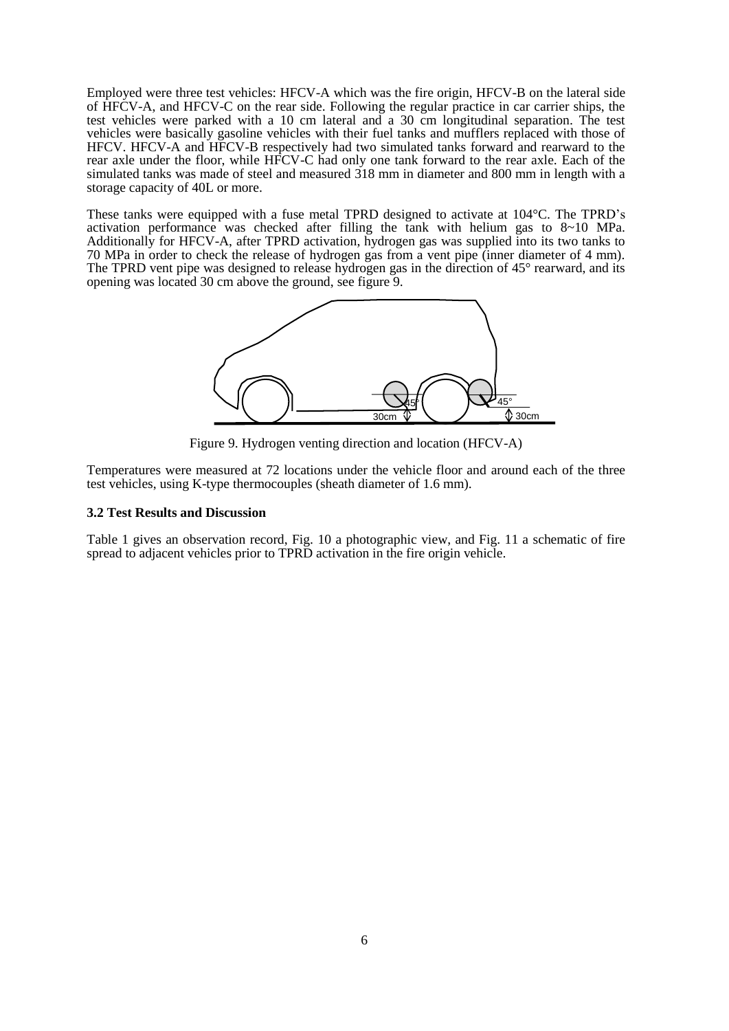Employed were three test vehicles: HFCV-A which was the fire origin, HFCV-B on the lateral side of HFCV-A, and HFCV-C on the rear side. Following the regular practice in car carrier ships, the test vehicles were parked with a 10 cm lateral and a 30 cm longitudinal separation. The test vehicles were basically gasoline vehicles with their fuel tanks and mufflers replaced with those of HFCV. HFCV-A and HFCV-B respectively had two simulated tanks forward and rearward to the rear axle under the floor, while HFCV-C had only one tank forward to the rear axle. Each of the simulated tanks was made of steel and measured 318 mm in diameter and 800 mm in length with a storage capacity of 40L or more.

These tanks were equipped with a fuse metal TPRD designed to activate at 104°C. The TPRD's activation performance was checked after filling the tank with helium gas to 8~10 MPa. Additionally for HFCV-A, after TPRD activation, hydrogen gas was supplied into its two tanks to 70 MPa in order to check the release of hydrogen gas from a vent pipe (inner diameter of 4 mm). The TPRD vent pipe was designed to release hydrogen gas in the direction of 45° rearward, and its opening was located 30 cm above the ground, see figure 9.



Figure 9. Hydrogen venting direction and location (HFCV-A)

Temperatures were measured at 72 locations under the vehicle floor and around each of the three test vehicles, using K-type thermocouples (sheath diameter of 1.6 mm).

#### **3.2 Test Results and Discussion**

Table 1 gives an observation record, Fig. 10 a photographic view, and Fig. 11 a schematic of fire spread to adjacent vehicles prior to TPRD activation in the fire origin vehicle.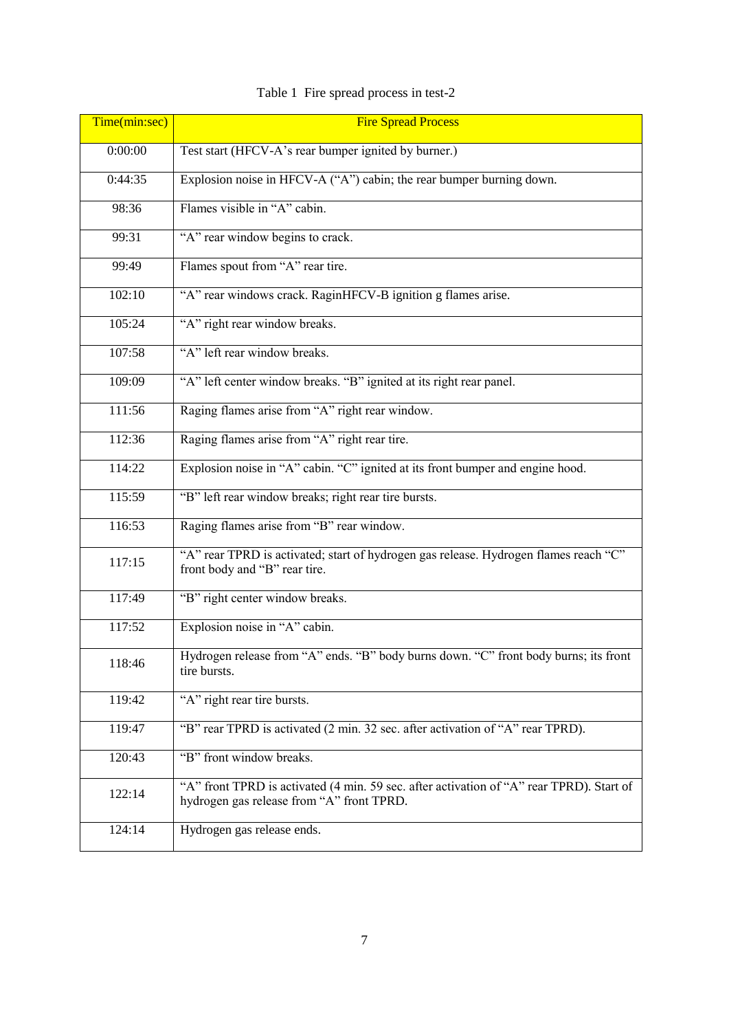| Time(min:sec) | <b>Fire Spread Process</b>                                                                                                            |
|---------------|---------------------------------------------------------------------------------------------------------------------------------------|
| 0:00:00       | Test start (HFCV-A's rear bumper ignited by burner.)                                                                                  |
| 0:44:35       | Explosion noise in HFCV-A ("A") cabin; the rear bumper burning down.                                                                  |
| 98:36         | Flames visible in "A" cabin.                                                                                                          |
| 99:31         | "A" rear window begins to crack.                                                                                                      |
| 99:49         | Flames spout from "A" rear tire.                                                                                                      |
| 102:10        | "A" rear windows crack. RaginHFCV-B ignition g flames arise.                                                                          |
| 105:24        | "A" right rear window breaks.                                                                                                         |
| 107:58        | "A" left rear window breaks.                                                                                                          |
| 109:09        | "A" left center window breaks. "B" ignited at its right rear panel.                                                                   |
| 111:56        | Raging flames arise from "A" right rear window.                                                                                       |
| 112:36        | Raging flames arise from "A" right rear tire.                                                                                         |
| 114:22        | Explosion noise in "A" cabin. "C" ignited at its front bumper and engine hood.                                                        |
| 115:59        | "B" left rear window breaks; right rear tire bursts.                                                                                  |
| 116:53        | Raging flames arise from "B" rear window.                                                                                             |
| 117:15        | "A" rear TPRD is activated; start of hydrogen gas release. Hydrogen flames reach "C"<br>front body and "B" rear tire.                 |
| 117:49        | "B" right center window breaks.                                                                                                       |
| 117:52        | Explosion noise in "A" cabin.                                                                                                         |
| 118:46        | Hydrogen release from "A" ends. "B" body burns down. "C" front body burns; its front<br>tire bursts.                                  |
| 119:42        | "A" right rear tire bursts.                                                                                                           |
| 119:47        | "B" rear TPRD is activated (2 min. 32 sec. after activation of "A" rear TPRD).                                                        |
| 120:43        | "B" front window breaks.                                                                                                              |
| 122:14        | "A" front TPRD is activated (4 min. 59 sec. after activation of "A" rear TPRD). Start of<br>hydrogen gas release from "A" front TPRD. |
| 124:14        | Hydrogen gas release ends.                                                                                                            |

# Table 1 Fire spread process in test-2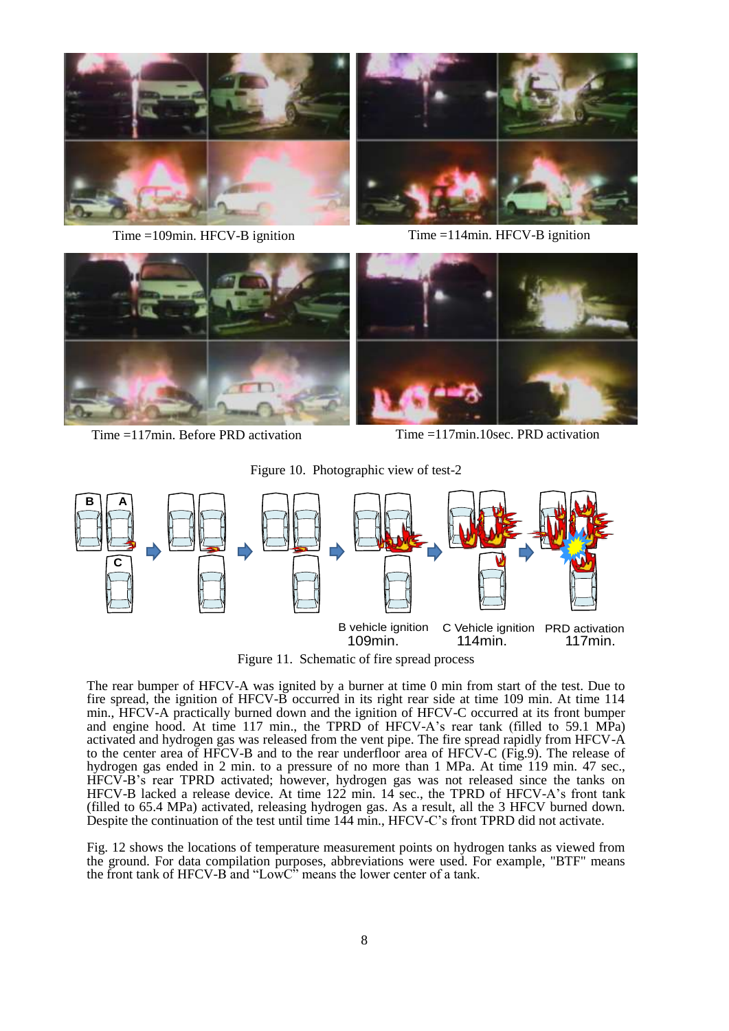



Time =109min. HFCV-B ignition Time =114min. HFCV-B ignition



Time =117min. Before PRD activation Time =117min.10sec. PRD activation

Figure 10. Photographic view of test-2



Figure 11. Schematic of fire spread process

The rear bumper of HFCV-A was ignited by a burner at time 0 min from start of the test. Due to fire spread, the ignition of HFCV-B occurred in its right rear side at time 109 min. At time 114 min., HFCV-A practically burned down and the ignition of HFCV-C occurred at its front bumper and engine hood. At time 117 min., the TPRD of HFCV-A's rear tank (filled to 59.1 MPa) activated and hydrogen gas was released from the vent pipe. The fire spread rapidly from HFCV-A to the center area of HFCV-B and to the rear underfloor area of HFCV-C (Fig.9). The release of hydrogen gas ended in 2 min. to a pressure of no more than 1 MPa. At time 119 min. 47 sec., HFCV-B's rear TPRD activated; however, hydrogen gas was not released since the tanks on HFCV-B lacked a release device. At time 122 min. 14 sec., the TPRD of HFCV-A's front tank (filled to 65.4 MPa) activated, releasing hydrogen gas. As a result, all the 3 HFCV burned down. Despite the continuation of the test until time 144 min., HFCV-C's front TPRD did not activate.

Fig. 12 shows the locations of temperature measurement points on hydrogen tanks as viewed from the ground. For data compilation purposes, abbreviations were used. For example, "BTF" means the front tank of HFCV-B and "LowC" means the lower center of a tank.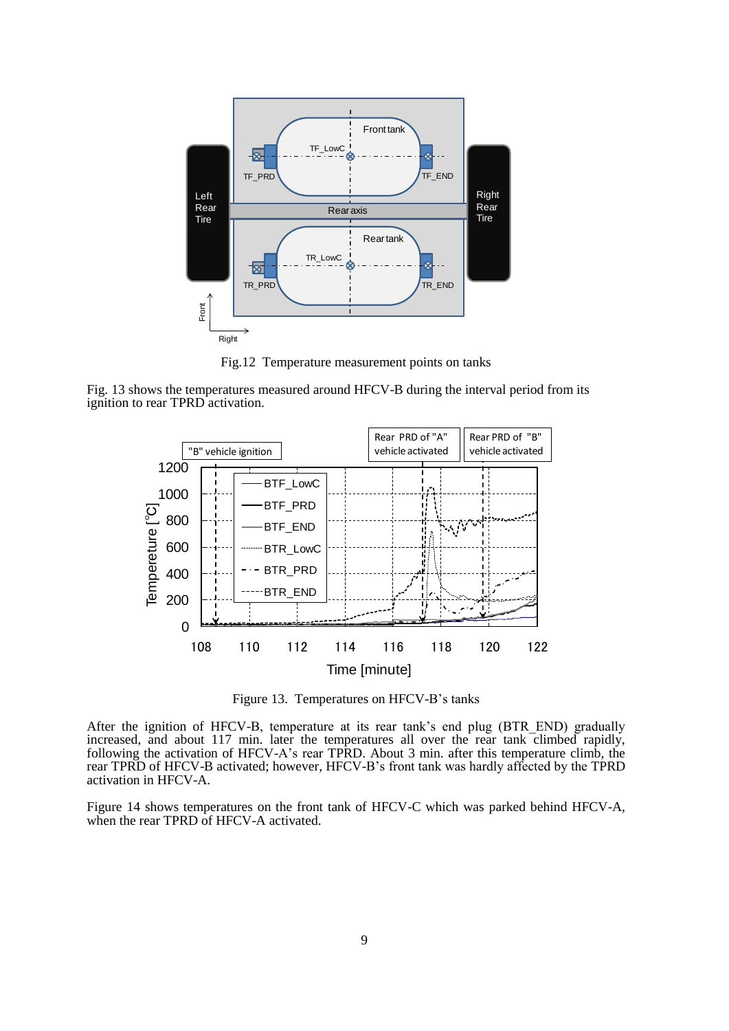

Fig.12 Temperature measurement points on tanks

Fig. 13 shows the temperatures measured around HFCV-B during the interval period from its ignition to rear TPRD activation.



Figure 13. Temperatures on HFCV-B's tanks

After the ignition of HFCV-B, temperature at its rear tank's end plug (BTR\_END) gradually increased, and about 117 min. later the temperatures all over the rear tank climbed rapidly, following the activation of HFCV-A's rear TPRD. About 3 min. after this temperature climb, the rear TPRD of HFCV-B activated; however, HFCV-B's front tank was hardly affected by the TPRD activation in HFCV-A.

Figure 14 shows temperatures on the front tank of HFCV-C which was parked behind HFCV-A, when the rear TPRD of HFCV-A activated.